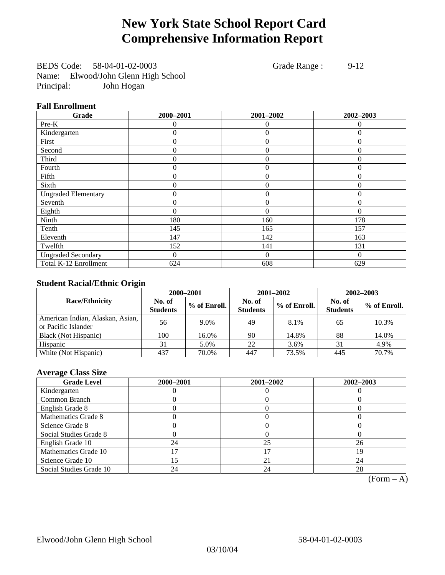## **New York State School Report Card Comprehensive Information Report**

BEDS Code: 58-04-01-02-0003 Grade Range : 9-12 Name: Elwood/John Glenn High School Principal: John Hogan

### **Fall Enrollment**

| Grade                      | 2000-2001 | 2001-2002      | 2002-2003 |
|----------------------------|-----------|----------------|-----------|
| Pre-K                      | $\Omega$  | $\Omega$       | $\theta$  |
| Kindergarten               | 0         | $\theta$       | $\Omega$  |
| First                      | 0         | $\theta$       | 0         |
| Second                     | 0         | $\theta$       | $\Omega$  |
| Third                      | 0         | $\overline{0}$ | $\Omega$  |
| Fourth                     | 0         | $\overline{0}$ | $\Omega$  |
| Fifth                      | 0         | $\theta$       | $\theta$  |
| Sixth                      | 0         | $\theta$       | $\theta$  |
| <b>Ungraded Elementary</b> | 0         | $\theta$       | $\Omega$  |
| Seventh                    | 0         | $\mathbf{0}$   | 0         |
| Eighth                     | 0         | $\theta$       | $\theta$  |
| Ninth                      | 180       | 160            | 178       |
| Tenth                      | 145       | 165            | 157       |
| Eleventh                   | 147       | 142            | 163       |
| Twelfth                    | 152       | 141            | 131       |
| <b>Ungraded Secondary</b>  | 0         | $\Omega$       | $\Omega$  |
| Total K-12 Enrollment      | 624       | 608            | 629       |

### **Student Racial/Ethnic Origin**

|                                                         |                           | 2001-2002<br>2000-2001 |                           | 2002-2003    |                           |                |
|---------------------------------------------------------|---------------------------|------------------------|---------------------------|--------------|---------------------------|----------------|
| <b>Race/Ethnicity</b>                                   | No. of<br><b>Students</b> | % of Enroll.           | No. of<br><b>Students</b> | % of Enroll. | No. of<br><b>Students</b> | $%$ of Enroll. |
| American Indian, Alaskan, Asian,<br>or Pacific Islander | 56                        | 9.0%                   | 49                        | 8.1%         | 65                        | 10.3%          |
| Black (Not Hispanic)                                    | 100                       | 16.0%                  | 90                        | 14.8%        | 88                        | 14.0%          |
| Hispanic                                                | 31                        | 5.0%                   | 22                        | 3.6%         | 31                        | 4.9%           |
| White (Not Hispanic)                                    | 437                       | 70.0%                  | 447                       | 73.5%        | 445                       | 70.7%          |

### **Average Class Size**

| <b>Grade Level</b>      | 2000-2001 | 2001-2002 | 2002-2003 |
|-------------------------|-----------|-----------|-----------|
| Kindergarten            |           |           |           |
| Common Branch           |           |           |           |
| English Grade 8         |           |           |           |
| Mathematics Grade 8     |           |           |           |
| Science Grade 8         |           |           |           |
| Social Studies Grade 8  |           |           |           |
| English Grade 10        | 24        | 25        | 26        |
| Mathematics Grade 10    |           |           | 19        |
| Science Grade 10        | 5         | 21        | 24        |
| Social Studies Grade 10 | 24        | 24        | 28        |

 $(Form - A)$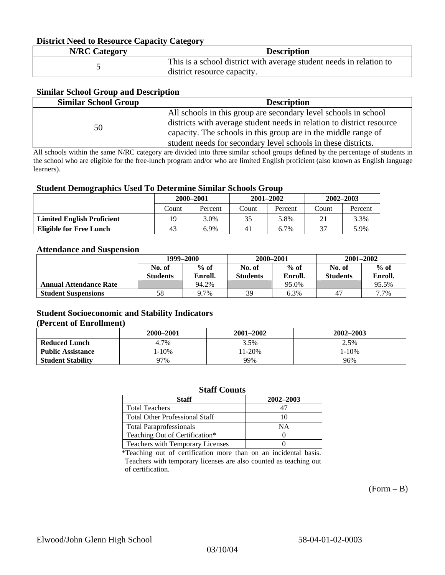### **District Need to Resource Capacity Category**

| <b>N/RC Category</b> | <b>Description</b>                                                                                 |
|----------------------|----------------------------------------------------------------------------------------------------|
|                      | This is a school district with average student needs in relation to<br>district resource capacity. |

#### **Similar School Group and Description**

| <b>Similar School Group</b> | <b>Description</b>                                                    |
|-----------------------------|-----------------------------------------------------------------------|
|                             | All schools in this group are secondary level schools in school       |
| 50                          | districts with average student needs in relation to district resource |
|                             | capacity. The schools in this group are in the middle range of        |
|                             | student needs for secondary level schools in these districts.         |

All schools within the same N/RC category are divided into three similar school groups defined by the percentage of students in the school who are eligible for the free-lunch program and/or who are limited English proficient (also known as English language learners).

#### **Student Demographics Used To Determine Similar Schools Group**

|                                   | 2000-2001 |         |       | $2001 - 2002$ | 2002-2003 |         |
|-----------------------------------|-----------|---------|-------|---------------|-----------|---------|
|                                   | Count     | Percent | Count | Percent       | Count     | Percent |
| <b>Limited English Proficient</b> | 19        | 3.0%    | 35    | 5.8%          |           | 3.3%    |
| <b>Eligible for Free Lunch</b>    | 43        | 6.9%    | 41    | 6.7%          | 37        | 5.9%    |

#### **Attendance and Suspension**

|                               | 1999–2000       |         | 2000-2001 |         | $2001 - 2002$   |         |
|-------------------------------|-----------------|---------|-----------|---------|-----------------|---------|
|                               | No. of          | $%$ of  | No. of    | $%$ of  | No. of          | $%$ of  |
|                               | <b>Students</b> | Enroll. | Students  | Enroll. | <b>Students</b> | Enroll. |
| <b>Annual Attendance Rate</b> |                 | 94.2%   |           | 95.0%   |                 | 95.5%   |
| <b>Student Suspensions</b>    | 58              | 9.7%    | 39        | 6.3%    | 47              | 7.7%    |

#### **Student Socioeconomic and Stability Indicators (Percent of Enrollment)**

|                          | 2000-2001 | 2001-2002 | 2002-2003 |
|--------------------------|-----------|-----------|-----------|
| <b>Reduced Lunch</b>     | 4.7%      | 3.5%      | 2.5%      |
| <b>Public Assistance</b> | $-10%$    | $1-20%$   | $-10%$    |
| <b>Student Stability</b> | 97%       | 99%       | 96%       |

#### **Staff Counts**

| Staff                                 | 2002-2003 |
|---------------------------------------|-----------|
| <b>Total Teachers</b>                 |           |
| <b>Total Other Professional Staff</b> | 10        |
| <b>Total Paraprofessionals</b>        | NΑ        |
| Teaching Out of Certification*        |           |
| Teachers with Temporary Licenses      |           |

\*Teaching out of certification more than on an incidental basis. Teachers with temporary licenses are also counted as teaching out of certification.

 $(Form - B)$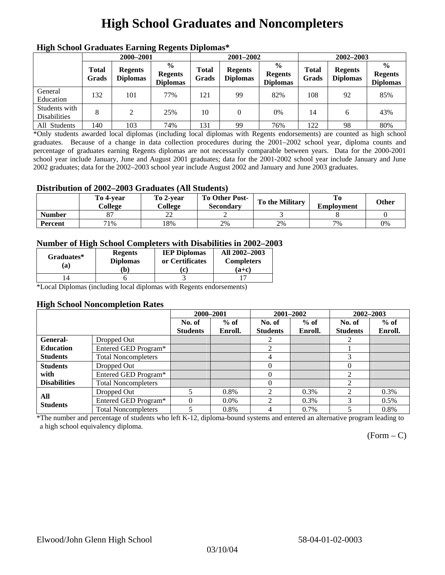# **High School Graduates and Noncompleters**

| ніді эспол этайнакі патінід кеденія вірюшая |                       |                                   |                                                    |                       |                                   |                                                    |                       |                                   |                                                    |  |
|---------------------------------------------|-----------------------|-----------------------------------|----------------------------------------------------|-----------------------|-----------------------------------|----------------------------------------------------|-----------------------|-----------------------------------|----------------------------------------------------|--|
|                                             | 2000-2001             |                                   |                                                    |                       | 2001-2002                         |                                                    |                       | 2002-2003                         |                                                    |  |
|                                             | <b>Total</b><br>Grads | <b>Regents</b><br><b>Diplomas</b> | $\frac{0}{0}$<br><b>Regents</b><br><b>Diplomas</b> | <b>Total</b><br>Grads | <b>Regents</b><br><b>Diplomas</b> | $\frac{6}{6}$<br><b>Regents</b><br><b>Diplomas</b> | <b>Total</b><br>Grads | <b>Regents</b><br><b>Diplomas</b> | $\frac{0}{0}$<br><b>Regents</b><br><b>Diplomas</b> |  |
| General<br>Education                        | 132                   | 101                               | 77%                                                | 121                   | 99                                | 82%                                                | 108                   | 92                                | 85%                                                |  |
| Students with<br><b>Disabilities</b>        | 8                     | 2                                 | 25%                                                | 10                    | $\theta$                          | 0%                                                 | 14                    | 6                                 | 43%                                                |  |
| All Students                                | 140                   | 103                               | 74%                                                | 131                   | 99                                | 76%                                                | 122                   | 98                                | 80%                                                |  |

### **High School Graduates Earning Regents Diplomas\***

\*Only students awarded local diplomas (including local diplomas with Regents endorsements) are counted as high school graduates. Because of a change in data collection procedures during the 2001–2002 school year, diploma counts and percentage of graduates earning Regents diplomas are not necessarily comparable between years. Data for the 2000-2001 school year include January, June and August 2001 graduates; data for the 2001-2002 school year include January and June 2002 graduates; data for the 2002–2003 school year include August 2002 and January and June 2003 graduates.

### **Distribution of 2002–2003 Graduates (All Students)**

|               | To 4-vear<br>College | To 2-vear<br>College | <b>To Other Post-</b><br><b>Secondary</b> | <b>To the Military</b> | <b>Employment</b> | Other |
|---------------|----------------------|----------------------|-------------------------------------------|------------------------|-------------------|-------|
| <b>Number</b> |                      | ∼                    |                                           |                        |                   |       |
| Percent       | 71%                  | 18%                  | 2%                                        | 2%                     | 7%                | 0%    |

### **Number of High School Completers with Disabilities in 2002–2003**

| Graduates*<br>(a) | <b>Regents</b><br><b>Diplomas</b> | <b>IEP Diplomas</b><br>or Certificates | All 2002-2003<br><b>Completers</b> |  |
|-------------------|-----------------------------------|----------------------------------------|------------------------------------|--|
|                   | $\mathbf{b}$                      |                                        | $(a+c)$                            |  |
|                   |                                   |                                        |                                    |  |

\*Local Diplomas (including local diplomas with Regents endorsements)

#### **High School Noncompletion Rates**

|                     |                            | 2000-2001       |         | 2001-2002                   |         | 2002-2003       |         |
|---------------------|----------------------------|-----------------|---------|-----------------------------|---------|-----------------|---------|
|                     |                            | No. of          | $%$ of  | No. of                      | $%$ of  | No. of          | $%$ of  |
|                     |                            | <b>Students</b> | Enroll. | <b>Students</b>             | Enroll. | <b>Students</b> | Enroll. |
| General-            | Dropped Out                |                 |         |                             |         |                 |         |
| <b>Education</b>    | Entered GED Program*       |                 |         | 2                           |         |                 |         |
| <b>Students</b>     | <b>Total Noncompleters</b> |                 |         | 4                           |         | 3               |         |
| <b>Students</b>     | Dropped Out                |                 |         | $\Omega$                    |         | $\theta$        |         |
| with                | Entered GED Program*       |                 |         | 0                           |         | ↑               |         |
| <b>Disabilities</b> | <b>Total Noncompleters</b> |                 |         | 0                           |         | 2               |         |
| All                 | Dropped Out                |                 | 0.8%    | $\mathfrak{D}$              | $0.3\%$ | $\mathfrak{D}$  | 0.3%    |
| <b>Students</b>     | Entered GED Program*       | $\Omega$        | $0.0\%$ | $\mathcal{D}_{\mathcal{L}}$ | $0.3\%$ | 3               | $0.5\%$ |
|                     | <b>Total Noncompleters</b> | 5               | 0.8%    | 4                           | $0.7\%$ |                 | 0.8%    |

\*The number and percentage of students who left K-12, diploma-bound systems and entered an alternative program leading to a high school equivalency diploma.

 $(Form - C)$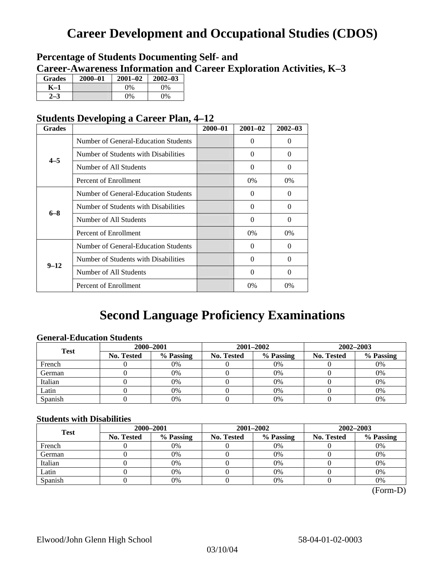## **Career Development and Occupational Studies (CDOS)**

### **Percentage of Students Documenting Self- and Career-Awareness Information and Career Exploration Activities, K–3**

| <b>Grades</b> | 2000-01 | $2001 - 02$ | $2002 - 03$ |
|---------------|---------|-------------|-------------|
| K–1           |         | $0\%$       | $0\%$       |
|               |         | $0\%$       | $0\%$       |

### **Students Developing a Career Plan, 4–12**

| <b>Grades</b> |                                      | $2000 - 01$ | $2001 - 02$ | $2002 - 03$ |
|---------------|--------------------------------------|-------------|-------------|-------------|
|               | Number of General-Education Students |             | $\Omega$    | $\theta$    |
| $4 - 5$       | Number of Students with Disabilities |             | 0           | $\Omega$    |
|               | Number of All Students               |             | $\Omega$    | $\Omega$    |
|               | Percent of Enrollment                |             | $0\%$       | $0\%$       |
|               | Number of General-Education Students |             | 0           | 0           |
| $6 - 8$       | Number of Students with Disabilities |             | $\theta$    | $\Omega$    |
|               | Number of All Students               |             | $\theta$    | $\Omega$    |
|               | Percent of Enrollment                |             | $0\%$       | $0\%$       |
|               | Number of General-Education Students |             | 0           | $\Omega$    |
| $9 - 12$      | Number of Students with Disabilities |             | 0           | $\Omega$    |
|               | Number of All Students               |             | 0           | $\Omega$    |
|               | Percent of Enrollment                |             | $0\%$       | $0\%$       |

## **Second Language Proficiency Examinations**

### **General-Education Students**

| <b>Test</b> | 2000-2001         |           |            | 2001-2002 | 2002-2003         |           |  |
|-------------|-------------------|-----------|------------|-----------|-------------------|-----------|--|
|             | <b>No. Tested</b> | % Passing | No. Tested | % Passing | <b>No. Tested</b> | % Passing |  |
| French      |                   | 0%        |            | $0\%$     |                   | 0%        |  |
| German      |                   | 0%        |            | 0%        |                   | 0%        |  |
| Italian     |                   | 0%        |            | 0%        |                   | 0%        |  |
| Latin       |                   | 0%        |            | 0%        |                   | 0%        |  |
| Spanish     |                   | 0%        |            | 0%        |                   | 0%        |  |

### **Students with Disabilities**

| <b>Test</b> | 2000-2001         |           |            | 2001-2002 | 2002-2003         |           |  |
|-------------|-------------------|-----------|------------|-----------|-------------------|-----------|--|
|             | <b>No. Tested</b> | % Passing | No. Tested | % Passing | <b>No. Tested</b> | % Passing |  |
| French      |                   | 0%        |            | 0%        |                   | 0%        |  |
| German      |                   | 0%        |            | $0\%$     |                   | 0%        |  |
| Italian     |                   | 0%        |            | $0\%$     |                   | 0%        |  |
| Latin       |                   | 0%        |            | 0%        |                   | 0%        |  |
| Spanish     |                   | 0%        |            | 0%        |                   | 0%        |  |

(Form-D)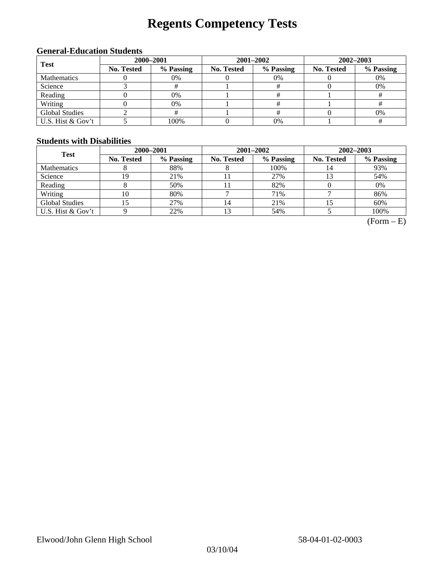# **Regents Competency Tests**

### **General-Education Students**

| <b>Test</b>           | 2000-2001         |           |            | 2001-2002 | 2002-2003                          |           |  |
|-----------------------|-------------------|-----------|------------|-----------|------------------------------------|-----------|--|
|                       | <b>No. Tested</b> | % Passing | No. Tested | % Passing | No. Tested<br>0%<br>0%<br>0%<br>0% | % Passing |  |
| <b>Mathematics</b>    |                   | 0%        |            |           |                                    |           |  |
| Science               |                   |           |            |           |                                    |           |  |
| Reading               |                   | 0%        |            |           |                                    |           |  |
| Writing               |                   | 0%        |            |           |                                    |           |  |
| <b>Global Studies</b> |                   |           |            |           |                                    |           |  |
| U.S. Hist & Gov't     |                   | 100%      |            | $0\%$     |                                    |           |  |

### **Students with Disabilities**

| <b>Test</b>           | 2000-2001         |           |                   | 2001-2002 | 2002-2003  |           |  |
|-----------------------|-------------------|-----------|-------------------|-----------|------------|-----------|--|
|                       | <b>No. Tested</b> | % Passing | <b>No. Tested</b> | % Passing | No. Tested | % Passing |  |
| <b>Mathematics</b>    |                   | 88%       |                   | 100%      | 14         | 93%       |  |
| Science               | 19                | 21%       |                   | 27%       |            | 54%       |  |
| Reading               |                   | 50%       |                   | 82%       |            | 0%        |  |
| Writing               | 10                | 80%       |                   | 71%       |            | 86%       |  |
| <b>Global Studies</b> | .5                | 27%       | 14                | 21%       |            | 60%       |  |
| U.S. Hist & Gov't     |                   | 22%       |                   | 54%       |            | 100%      |  |

 $(Form - E)$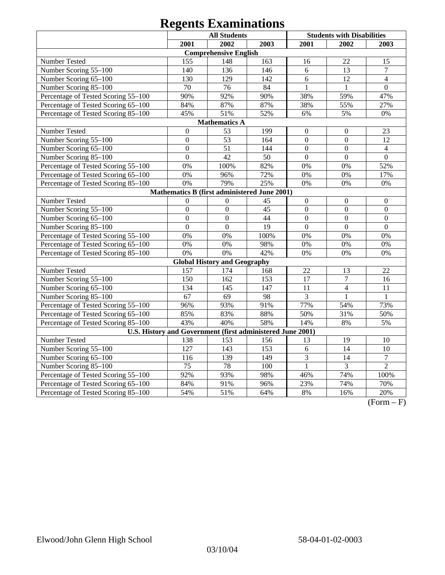|                                                            | <b>All Students</b> |                                     |      | <b>Students with Disabilities</b> |                  |                  |  |
|------------------------------------------------------------|---------------------|-------------------------------------|------|-----------------------------------|------------------|------------------|--|
|                                                            | 2001                | 2002                                | 2003 | 2001                              | 2002             | 2003             |  |
|                                                            |                     | <b>Comprehensive English</b>        |      |                                   |                  |                  |  |
| Number Tested                                              | 155                 | 148                                 | 163  | 16                                | 22               | 15               |  |
| Number Scoring 55-100                                      | 140                 | 136                                 | 146  | 6                                 | 13               | $\tau$           |  |
| Number Scoring 65-100                                      | 130                 | 129                                 | 142  | 6                                 | 12               | $\overline{4}$   |  |
| Number Scoring 85-100                                      | $\overline{70}$     | $\overline{76}$                     | 84   | $\mathbf{1}$                      | $\mathbf{1}$     | $\overline{0}$   |  |
| Percentage of Tested Scoring 55-100                        | 90%                 | 92%                                 | 90%  | 38%                               | 59%              | 47%              |  |
| Percentage of Tested Scoring 65-100                        | 84%                 | 87%                                 | 87%  | 38%                               | 55%              | 27%              |  |
| Percentage of Tested Scoring 85-100                        | 45%                 | 51%                                 | 52%  | 6%                                | 5%               | 0%               |  |
| <b>Mathematics A</b>                                       |                     |                                     |      |                                   |                  |                  |  |
| Number Tested                                              | $\boldsymbol{0}$    | 53                                  | 199  | $\boldsymbol{0}$                  | $\boldsymbol{0}$ | 23               |  |
| Number Scoring 55-100                                      | $\overline{0}$      | 53                                  | 164  | $\mathbf{0}$                      | $\mathbf{0}$     | 12               |  |
| Number Scoring 65-100                                      | $\mathbf{0}$        | 51                                  | 144  | $\boldsymbol{0}$                  | $\mathbf{0}$     | $\overline{4}$   |  |
| Number Scoring 85-100                                      | $\boldsymbol{0}$    | 42                                  | 50   | $\boldsymbol{0}$                  | $\boldsymbol{0}$ | $\boldsymbol{0}$ |  |
| Percentage of Tested Scoring 55-100                        | 0%                  | 100%                                | 82%  | 0%                                | 0%               | 52%              |  |
| Percentage of Tested Scoring 65-100                        | 0%                  | 96%                                 | 72%  | 0%                                | 0%               | 17%              |  |
| Percentage of Tested Scoring 85-100                        | 0%                  | 79%                                 | 25%  | 0%                                | 0%               | $0\%$            |  |
| Mathematics B (first administered June 2001)               |                     |                                     |      |                                   |                  |                  |  |
| Number Tested                                              | $\overline{0}$      | $\overline{0}$                      | 45   | $\boldsymbol{0}$                  | $\boldsymbol{0}$ | $\boldsymbol{0}$ |  |
| Number Scoring 55-100                                      | $\overline{0}$      | $\overline{0}$                      | 45   | $\mathbf{0}$                      | $\overline{0}$   | $\mathbf{0}$     |  |
| Number Scoring 65-100                                      | $\overline{0}$      | $\overline{0}$                      | 44   | $\overline{0}$                    | $\overline{0}$   | $\overline{0}$   |  |
| Number Scoring 85-100                                      | $\overline{0}$      | $\overline{0}$                      | 19   | $\overline{0}$                    | $\overline{0}$   | $\overline{0}$   |  |
| Percentage of Tested Scoring 55-100                        | 0%                  | 0%                                  | 100% | 0%                                | 0%               | 0%               |  |
| Percentage of Tested Scoring 65-100                        | 0%                  | 0%                                  | 98%  | 0%                                | 0%               | 0%               |  |
| Percentage of Tested Scoring 85-100                        | 0%                  | 0%                                  | 42%  | 0%                                | 0%               | 0%               |  |
|                                                            |                     | <b>Global History and Geography</b> |      |                                   |                  |                  |  |
| Number Tested                                              | 157                 | 174                                 | 168  | 22                                | 13               | 22               |  |
| Number Scoring 55-100                                      | 150                 | 162                                 | 153  | 17                                | $\overline{7}$   | 16               |  |
| Number Scoring 65-100                                      | 134                 | 145                                 | 147  | 11                                | $\overline{4}$   | 11               |  |
| Number Scoring 85-100                                      | 67                  | 69                                  | 98   | 3                                 | 1                | $\mathbf{1}$     |  |
| Percentage of Tested Scoring 55-100                        | 96%                 | 93%                                 | 91%  | 77%                               | 54%              | 73%              |  |
| Percentage of Tested Scoring 65-100                        | 85%                 | 83%                                 | 88%  | 50%                               | 31%              | 50%              |  |
| Percentage of Tested Scoring 85-100                        | 43%                 | 40%                                 | 58%  | 14%                               | 8%               | 5%               |  |
| U.S. History and Government (first administered June 2001) |                     |                                     |      |                                   |                  |                  |  |
| Number Tested                                              | 138                 | 153                                 | 156  | 13                                | 19               | 10               |  |
| Number Scoring 55-100                                      | 127                 | 143                                 | 153  | 6                                 | $\overline{14}$  | $\overline{10}$  |  |
| Number Scoring 65-100                                      | $11\overline{6}$    | 139                                 | 149  | 3                                 | 14               | $\overline{7}$   |  |
| Number Scoring 85-100                                      | 75                  | 78                                  | 100  | $\mathbf{1}$                      | 3                | $\overline{2}$   |  |
| Percentage of Tested Scoring 55-100                        | 92%                 | 93%                                 | 98%  | 46%                               | 74%              | 100%             |  |
| Percentage of Tested Scoring 65-100                        | 84%                 | 91%                                 | 96%  | 23%                               | 74%              | 70%              |  |
| Percentage of Tested Scoring 85-100                        | 54%                 | 51%                                 | 64%  | $8\%$                             | 16%              | 20%              |  |

 $(Form - F)$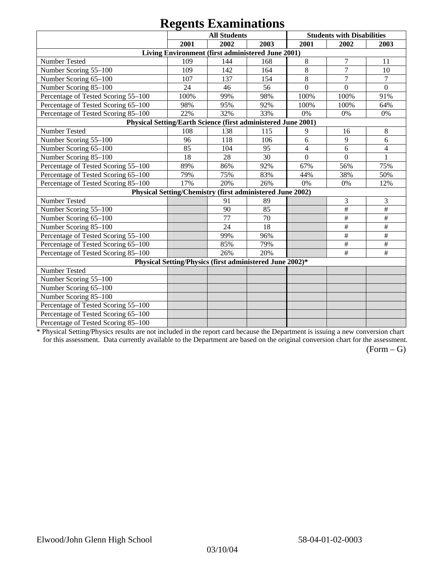|                                                               |      | $\sim$                                                    |      |                  |                                   |                |
|---------------------------------------------------------------|------|-----------------------------------------------------------|------|------------------|-----------------------------------|----------------|
|                                                               |      | <b>All Students</b>                                       |      |                  | <b>Students with Disabilities</b> |                |
|                                                               | 2001 | 2002                                                      | 2003 | 2001             | 2002                              | 2003           |
|                                                               |      | Living Environment (first administered June 2001)         |      |                  |                                   |                |
| Number Tested                                                 | 109  | 144                                                       | 168  | 8                | 7                                 | 11             |
| Number Scoring 55-100                                         | 109  | 142                                                       | 164  | 8                | $\overline{7}$                    | 10             |
| Number Scoring 65-100                                         | 107  | 137                                                       | 154  | 8                | $\overline{7}$                    | $\overline{7}$ |
| Number Scoring 85-100                                         | 24   | 46                                                        | 56   | $\overline{0}$   | $\theta$                          | $\overline{0}$ |
| Percentage of Tested Scoring 55-100                           | 100% | 99%                                                       | 98%  | 100%             | 100%                              | 91%            |
| Percentage of Tested Scoring 65-100                           | 98%  | 95%                                                       | 92%  | 100%             | 100%                              | 64%            |
| Percentage of Tested Scoring 85-100                           | 22%  | 32%                                                       | 33%  | 0%               | 0%                                | 0%             |
| Physical Setting/Earth Science (first administered June 2001) |      |                                                           |      |                  |                                   |                |
| Number Tested                                                 | 108  | 138                                                       | 115  | 9                | 16                                | 8              |
| Number Scoring 55-100                                         | 96   | 118                                                       | 106  | 6                | $\overline{9}$                    | 6              |
| Number Scoring 65-100                                         | 85   | 104                                                       | 95   | $\overline{4}$   | 6                                 | 4              |
| Number Scoring 85-100                                         | 18   | 28                                                        | 30   | $\boldsymbol{0}$ | $\Omega$                          | 1              |
| Percentage of Tested Scoring 55-100                           | 89%  | 86%                                                       | 92%  | 67%              | 56%                               | 75%            |
| Percentage of Tested Scoring 65-100                           | 79%  | 75%                                                       | 83%  | 44%              | 38%                               | 50%            |
| Percentage of Tested Scoring 85-100                           | 17%  | 20%                                                       | 26%  | 0%               | 0%                                | 12%            |
|                                                               |      | Physical Setting/Chemistry (first administered June 2002) |      |                  |                                   |                |
| Number Tested                                                 |      | 91                                                        | 89   |                  | 3                                 | 3              |
| Number Scoring 55-100                                         |      | 90                                                        | 85   |                  | $\#$                              | $\#$           |
| Number Scoring 65-100                                         |      | 77                                                        | 70   |                  | $\#$                              | $\#$           |
| Number Scoring 85-100                                         |      | 24                                                        | 18   |                  | $\#$                              | $\#$           |
| Percentage of Tested Scoring 55-100                           |      | 99%                                                       | 96%  |                  | $\#$                              | $\#$           |
| Percentage of Tested Scoring 65-100                           |      | 85%                                                       | 79%  |                  | $\#$                              | $\#$           |
| Percentage of Tested Scoring 85-100                           |      | 26%                                                       | 20%  |                  | $\#$                              | $\#$           |
|                                                               |      | Physical Setting/Physics (first administered June 2002)*  |      |                  |                                   |                |
| Number Tested                                                 |      |                                                           |      |                  |                                   |                |
| Number Scoring 55-100                                         |      |                                                           |      |                  |                                   |                |
| Number Scoring 65-100                                         |      |                                                           |      |                  |                                   |                |
| Number Scoring 85-100                                         |      |                                                           |      |                  |                                   |                |
| Percentage of Tested Scoring 55-100                           |      |                                                           |      |                  |                                   |                |
| Percentage of Tested Scoring 65-100                           |      |                                                           |      |                  |                                   |                |
| Percentage of Tested Scoring 85-100                           |      |                                                           |      |                  |                                   |                |

\* Physical Setting/Physics results are not included in the report card because the Department is issuing a new conversion chart for this assessment. Data currently available to the Department are based on the original conversion chart for the assessment.

 $(Form - G)$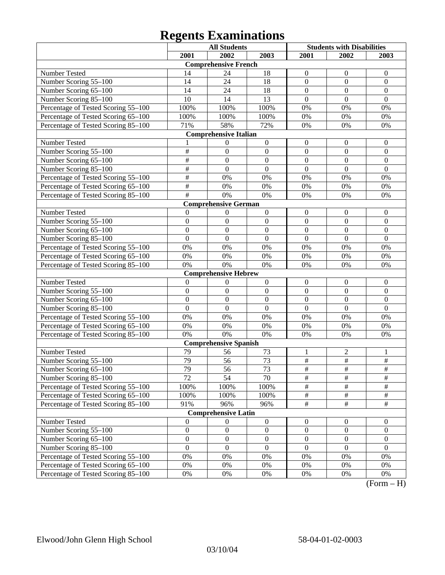|                                     |                  | <b>All Students</b>          |                  | <b>Students with Disabilities</b> |                  |                  |
|-------------------------------------|------------------|------------------------------|------------------|-----------------------------------|------------------|------------------|
|                                     | 2001             | 2002                         | 2003             | 2001                              | 2002             | 2003             |
|                                     |                  | <b>Comprehensive French</b>  |                  |                                   |                  |                  |
| Number Tested                       | 14               | 24                           | 18               | $\boldsymbol{0}$                  | $\theta$         | $\mathbf{0}$     |
| Number Scoring 55-100               | 14               | 24                           | 18               | $\overline{0}$                    | $\boldsymbol{0}$ | $\mathbf{0}$     |
| Number Scoring 65-100               | 14               | 24                           | 18               | $\overline{0}$                    | $\overline{0}$   | $\overline{0}$   |
| Number Scoring 85-100               | 10               | 14                           | 13               | $\overline{0}$                    | $\overline{0}$   | $\overline{0}$   |
| Percentage of Tested Scoring 55-100 | 100%             | 100%                         | 100%             | 0%                                | 0%               | 0%               |
| Percentage of Tested Scoring 65-100 | 100%             | 100%                         | 100%             | 0%                                | 0%               | 0%               |
| Percentage of Tested Scoring 85-100 | 71%              | 58%                          | 72%              | 0%                                | 0%               | 0%               |
|                                     |                  | <b>Comprehensive Italian</b> |                  |                                   |                  |                  |
| Number Tested                       |                  | $\theta$                     | $\boldsymbol{0}$ | $\boldsymbol{0}$                  | $\theta$         | $\mathbf{0}$     |
| Number Scoring 55-100               | $\overline{\#}$  | $\overline{0}$               | $\mathbf{0}$     | $\overline{0}$                    | $\boldsymbol{0}$ | $\mathbf{0}$     |
| Number Scoring 65-100               | #                | $\overline{0}$               | $\overline{0}$   | $\overline{0}$                    | $\overline{0}$   | $\mathbf{0}$     |
| Number Scoring 85-100               | #                | $\overline{0}$               | $\overline{0}$   | $\overline{0}$                    | $\overline{0}$   | $\overline{0}$   |
| Percentage of Tested Scoring 55-100 | #                | 0%                           | 0%               | 0%                                | 0%               | 0%               |
| Percentage of Tested Scoring 65-100 | #                | 0%                           | 0%               | 0%                                | 0%               | 0%               |
| Percentage of Tested Scoring 85-100 | #                | 0%                           | 0%               | 0%                                | 0%               | 0%               |
|                                     |                  | <b>Comprehensive German</b>  |                  |                                   |                  |                  |
| Number Tested                       | $\theta$         | $\theta$                     | $\boldsymbol{0}$ | $\boldsymbol{0}$                  | $\boldsymbol{0}$ | $\mathbf{0}$     |
| Number Scoring 55-100               | $\overline{0}$   | $\overline{0}$               | $\mathbf{0}$     | $\overline{0}$                    | $\overline{0}$   | $\mathbf{0}$     |
| Number Scoring 65-100               | $\overline{0}$   | $\overline{0}$               | $\boldsymbol{0}$ | $\overline{0}$                    | $\overline{0}$   | $\mathbf{0}$     |
| Number Scoring 85-100               | $\overline{0}$   | $\overline{0}$               | $\overline{0}$   | $\overline{0}$                    | $\overline{0}$   | $\overline{0}$   |
| Percentage of Tested Scoring 55-100 | 0%               | 0%                           | 0%               | 0%                                | 0%               | 0%               |
| Percentage of Tested Scoring 65-100 | 0%               | 0%                           | 0%               | 0%                                | 0%               | 0%               |
| Percentage of Tested Scoring 85-100 | 0%               | 0%                           | 0%               | 0%                                | 0%               | 0%               |
|                                     |                  | <b>Comprehensive Hebrew</b>  |                  |                                   |                  |                  |
| Number Tested                       | $\overline{0}$   | $\boldsymbol{0}$             | $\boldsymbol{0}$ | $\boldsymbol{0}$                  | $\boldsymbol{0}$ | $\boldsymbol{0}$ |
| Number Scoring 55-100               | $\overline{0}$   | $\overline{0}$               | $\boldsymbol{0}$ | $\overline{0}$                    | $\overline{0}$   | $\mathbf{0}$     |
| Number Scoring 65-100               | $\overline{0}$   | $\overline{0}$               | $\overline{0}$   | $\overline{0}$                    | $\overline{0}$   | $\overline{0}$   |
| Number Scoring 85-100               | $\overline{0}$   | $\overline{0}$               | $\overline{0}$   | $\overline{0}$                    | $\overline{0}$   | $\mathbf{0}$     |
| Percentage of Tested Scoring 55-100 | 0%               | 0%                           | 0%               | 0%                                | 0%               | 0%               |
| Percentage of Tested Scoring 65-100 | 0%               | 0%                           | 0%               | 0%                                | 0%               | 0%               |
| Percentage of Tested Scoring 85-100 | 0%               | 0%                           | 0%               | 0%                                | 0%               | 0%               |
|                                     |                  | <b>Comprehensive Spanish</b> |                  |                                   |                  |                  |
| Number Tested                       | 79               | 56                           | 73               | 1                                 | $\overline{c}$   | 1                |
| Number Scoring 55-100               | 79               | 56                           | 73               | $\#$                              | $\#$             | $\frac{1}{2}$    |
| Number Scoring 65–100               | 79               | 56                           | 73               | #                                 | $\overline{\#}$  | $\overline{\#}$  |
| Number Scoring 85-100               | 72               | 54                           | 70               | $\overline{\#}$                   | $\overline{\#}$  | $\overline{\#}$  |
| Percentage of Tested Scoring 55-100 | 100%             | 100%                         | 100%             | $\overline{\#}$                   | $\frac{1}{2}$    | $\#$             |
| Percentage of Tested Scoring 65-100 | 100%             | 100%                         | 100%             | $\overline{\#}$                   | $\frac{1}{2}$    | $\#$             |
| Percentage of Tested Scoring 85-100 | 91%              | 96%                          | 96%              | $\overline{\#}$                   | $\overline{\#}$  | $\overline{\#}$  |
|                                     |                  | <b>Comprehensive Latin</b>   |                  |                                   |                  |                  |
| Number Tested                       | $\boldsymbol{0}$ | $\theta$                     | $\boldsymbol{0}$ | $\mathbf{0}$                      | $\boldsymbol{0}$ | $\boldsymbol{0}$ |
| Number Scoring 55-100               | $\boldsymbol{0}$ | $\boldsymbol{0}$             | $\boldsymbol{0}$ | $\boldsymbol{0}$                  | $\boldsymbol{0}$ | $\boldsymbol{0}$ |
| Number Scoring 65-100               | $\boldsymbol{0}$ | $\boldsymbol{0}$             | $\boldsymbol{0}$ | $\boldsymbol{0}$                  | $\boldsymbol{0}$ | $\boldsymbol{0}$ |
| Number Scoring 85-100               | $\overline{0}$   | $\mathbf{0}$                 | $\mathbf{0}$     | $\boldsymbol{0}$                  | $\boldsymbol{0}$ | $\boldsymbol{0}$ |
| Percentage of Tested Scoring 55-100 | 0%               | 0%                           | $0\%$            | 0%                                | 0%               | 0%               |
| Percentage of Tested Scoring 65-100 | 0%               | 0%                           | $0\%$            | 0%                                | 0%               | 0%               |
| Percentage of Tested Scoring 85-100 | $0\%$            | 0%                           | 0%               | 0%                                | 0%               | $0\%$            |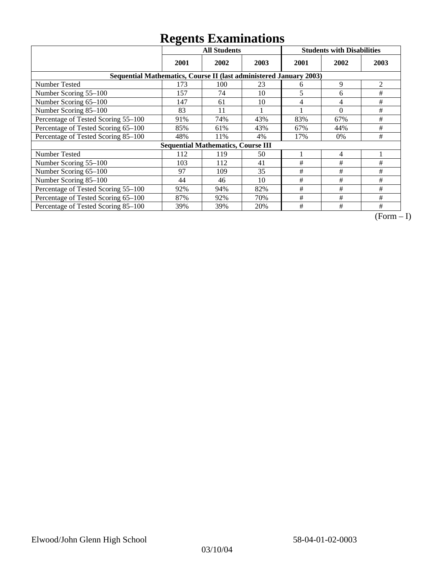|                                                                    | ັ<br><b>All Students</b> |                                           |      |      | <b>Students with Disabilities</b> |      |
|--------------------------------------------------------------------|--------------------------|-------------------------------------------|------|------|-----------------------------------|------|
|                                                                    | 2001                     | 2002                                      | 2003 | 2001 | 2002                              | 2003 |
| Sequential Mathematics, Course II (last administered January 2003) |                          |                                           |      |      |                                   |      |
| <b>Number Tested</b>                                               | 173                      | 100                                       | 23   | 6    | 9                                 | 2    |
| Number Scoring 55-100                                              | 157                      | 74                                        | 10   | 5    | 6                                 | #    |
| Number Scoring 65-100                                              | 147                      | 61                                        | 10   | 4    | 4                                 | #    |
| Number Scoring 85-100                                              | 83                       | 11                                        |      |      | $\theta$                          | #    |
| Percentage of Tested Scoring 55-100                                | 91%                      | 74%                                       | 43%  | 83%  | 67%                               | $\#$ |
| Percentage of Tested Scoring 65-100                                | 85%                      | 61%                                       | 43%  | 67%  | 44%                               | #    |
| Percentage of Tested Scoring 85-100                                | 48%                      | 11%                                       | 4%   | 17%  | $0\%$                             | #    |
|                                                                    |                          | <b>Sequential Mathematics, Course III</b> |      |      |                                   |      |
| Number Tested                                                      | 112                      | 119                                       | 50   |      | 4                                 |      |
| Number Scoring 55-100                                              | 103                      | 112                                       | 41   | #    | #                                 | #    |
| Number Scoring 65-100                                              | 97                       | 109                                       | 35   | #    | #                                 | #    |
| Number Scoring 85-100                                              | 44                       | 46                                        | 10   | #    | #                                 | #    |
| Percentage of Tested Scoring 55-100                                | 92%                      | 94%                                       | 82%  | #    | #                                 | #    |
| Percentage of Tested Scoring 65-100                                | 87%                      | 92%                                       | 70%  | $\#$ | #                                 | #    |
| Percentage of Tested Scoring 85-100                                | 39%                      | 39%                                       | 20%  | #    | #                                 | #    |

 $\overline{(Form-I)}$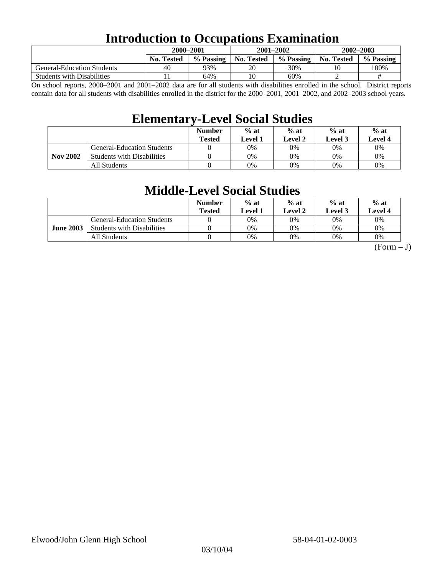### **Introduction to Occupations Examination**

|                                   | 2000-2001         |           | $2001 - 2002$     |           | 2002-2003  |           |  |
|-----------------------------------|-------------------|-----------|-------------------|-----------|------------|-----------|--|
|                                   | <b>No. Tested</b> | % Passing | <b>No. Tested</b> | % Passing | No. Tested | % Passing |  |
| <b>General-Education Students</b> | 40                | 93%       | 20                | 30%       | 10         | 100%      |  |
| <b>Students with Disabilities</b> |                   | 64%       | 10                | 60%       |            | #         |  |

On school reports, 2000–2001 and 2001–2002 data are for all students with disabilities enrolled in the school. District reports contain data for all students with disabilities enrolled in the district for the 2000–2001, 2001–2002, and 2002–2003 school years.

### **Elementary-Level Social Studies**

|                 |                                   | <b>Number</b><br><b>Tested</b> | $%$ at<br>Level 1 | $%$ at<br>Level 3<br>Level 2 |    | $%$ at<br>Level 4 |
|-----------------|-----------------------------------|--------------------------------|-------------------|------------------------------|----|-------------------|
| <b>Nov 2002</b> | <b>General-Education Students</b> |                                | 0%                | 0%                           | 0% | 0%                |
|                 | <b>Students with Disabilities</b> |                                | 0%                | 0%                           | 0% | $0\%$             |
|                 | All Students                      |                                | 0%                | 0%                           | 0% | $0\%$             |

### **Middle-Level Social Studies**

|                  |                                   | <b>Number</b><br>Tested | $%$ at<br>evel 1. | $%$ at<br>Level 2 | $%$ at<br>Level 3 | $%$ at<br>Level 4 |
|------------------|-----------------------------------|-------------------------|-------------------|-------------------|-------------------|-------------------|
| <b>June 2003</b> | <b>General-Education Students</b> |                         | 0%                | 0%                | $0\%$             | $0\%$             |
|                  | <b>Students with Disabilities</b> |                         | 0%                | 0%                | 0%                | 0%                |
|                  | All Students                      |                         | 0%                | 0%                | 0%                | 0%                |

 $(Form - J)$